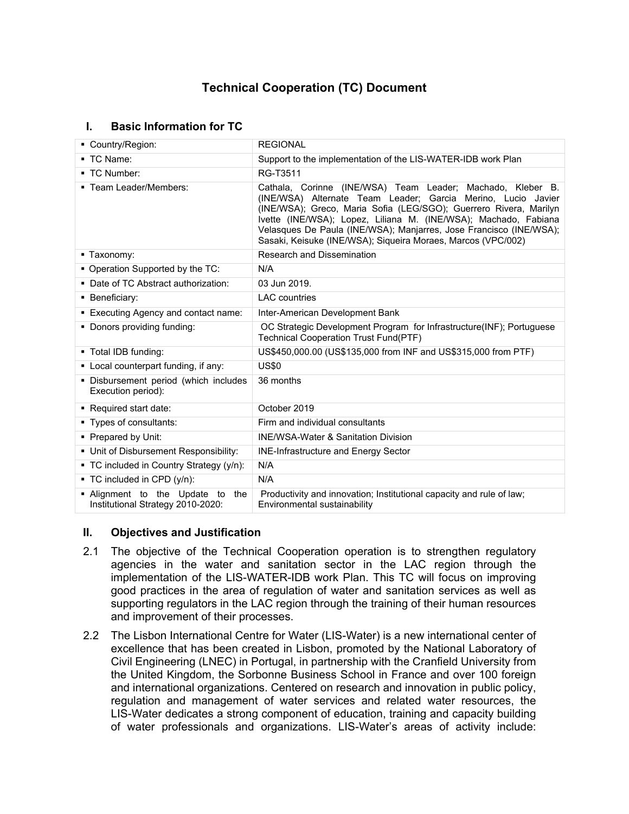# **Technical Cooperation (TC) Document**

# **I. Basic Information for TC**

| • Country/Region:                                                     | <b>REGIONAL</b>                                                                                                                                                                                                                                                                                                                                                                                          |  |  |  |
|-----------------------------------------------------------------------|----------------------------------------------------------------------------------------------------------------------------------------------------------------------------------------------------------------------------------------------------------------------------------------------------------------------------------------------------------------------------------------------------------|--|--|--|
| ■ TC Name:                                                            | Support to the implementation of the LIS-WATER-IDB work Plan                                                                                                                                                                                                                                                                                                                                             |  |  |  |
| ■ TC Number:                                                          | RG-T3511                                                                                                                                                                                                                                                                                                                                                                                                 |  |  |  |
| ■ Team Leader/Members:                                                | Cathala, Corinne (INE/WSA) Team Leader; Machado, Kleber B.<br>(INE/WSA) Alternate Team Leader; Garcia Merino, Lucio Javier<br>(INE/WSA); Greco, Maria Sofia (LEG/SGO); Guerrero Rivera, Marilyn<br>Ivette (INE/WSA); Lopez, Liliana M. (INE/WSA); Machado, Fabiana<br>Velasques De Paula (INE/WSA); Manjarres, Jose Francisco (INE/WSA);<br>Sasaki, Keisuke (INE/WSA); Siqueira Moraes, Marcos (VPC/002) |  |  |  |
| ■ Taxonomy:                                                           | <b>Research and Dissemination</b>                                                                                                                                                                                                                                                                                                                                                                        |  |  |  |
| • Operation Supported by the TC:                                      | N/A                                                                                                                                                                                                                                                                                                                                                                                                      |  |  |  |
| • Date of TC Abstract authorization:                                  | 03 Jun 2019.                                                                                                                                                                                                                                                                                                                                                                                             |  |  |  |
| • Beneficiary:                                                        | <b>LAC</b> countries                                                                                                                                                                                                                                                                                                                                                                                     |  |  |  |
| ■ Executing Agency and contact name:                                  | Inter-American Development Bank                                                                                                                                                                                                                                                                                                                                                                          |  |  |  |
| • Donors providing funding:                                           | OC Strategic Development Program for Infrastructure(INF); Portuguese<br><b>Technical Cooperation Trust Fund(PTF)</b>                                                                                                                                                                                                                                                                                     |  |  |  |
| ■ Total IDB funding:                                                  | US\$450,000.00 (US\$135,000 from INF and US\$315,000 from PTF)                                                                                                                                                                                                                                                                                                                                           |  |  |  |
| • Local counterpart funding, if any:                                  | <b>US\$0</b>                                                                                                                                                                                                                                                                                                                                                                                             |  |  |  |
| · Disbursement period (which includes<br>Execution period):           | 36 months                                                                                                                                                                                                                                                                                                                                                                                                |  |  |  |
| Required start date:                                                  | October 2019                                                                                                                                                                                                                                                                                                                                                                                             |  |  |  |
| ■ Types of consultants:                                               | Firm and individual consultants                                                                                                                                                                                                                                                                                                                                                                          |  |  |  |
| • Prepared by Unit:                                                   | <b>INE/WSA-Water &amp; Sanitation Division</b>                                                                                                                                                                                                                                                                                                                                                           |  |  |  |
| • Unit of Disbursement Responsibility:                                | <b>INE-Infrastructure and Energy Sector</b>                                                                                                                                                                                                                                                                                                                                                              |  |  |  |
| • TC included in Country Strategy (y/n):                              | N/A                                                                                                                                                                                                                                                                                                                                                                                                      |  |  |  |
| $\blacksquare$ TC included in CPD (y/n):                              | N/A                                                                                                                                                                                                                                                                                                                                                                                                      |  |  |  |
| . Alignment to the Update to the<br>Institutional Strategy 2010-2020: | Productivity and innovation; Institutional capacity and rule of law;<br>Environmental sustainability                                                                                                                                                                                                                                                                                                     |  |  |  |

# **II. Objectives and Justification**

- 2.1 The objective of the Technical Cooperation operation is to strengthen regulatory agencies in the water and sanitation sector in the LAC region through the implementation of the LIS-WATER-IDB work Plan. This TC will focus on improving good practices in the area of regulation of water and sanitation services as well as supporting regulators in the LAC region through the training of their human resources and improvement of their processes.
- 2.2 The Lisbon International Centre for Water (LIS-Water) is a new international center of excellence that has been created in Lisbon, promoted by the National Laboratory of Civil Engineering (LNEC) in Portugal, in partnership with the Cranfield University from the United Kingdom, the Sorbonne Business School in France and over 100 foreign and international organizations. Centered on research and innovation in public policy, regulation and management of water services and related water resources, the LIS-Water dedicates a strong component of education, training and capacity building of water professionals and organizations. LIS-Water's areas of activity include: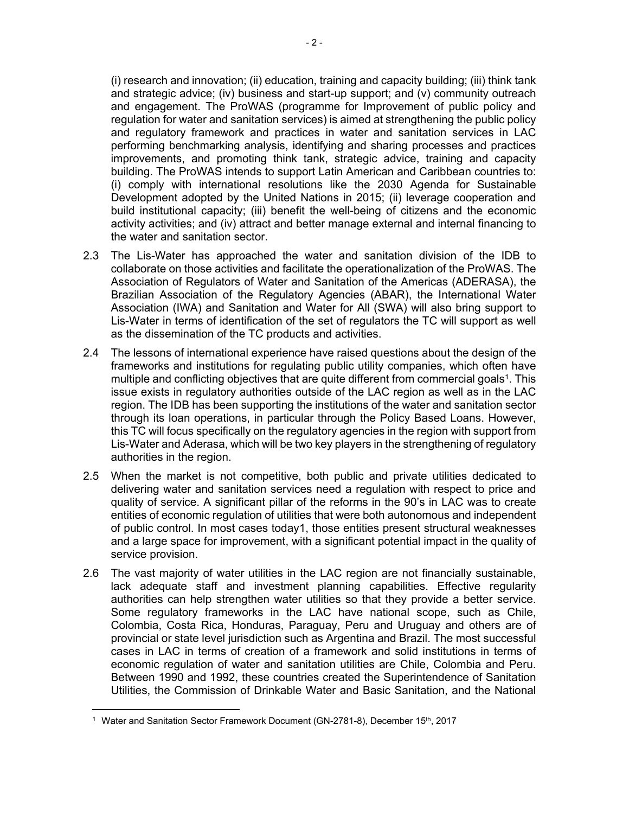(i) research and innovation; (ii) education, training and capacity building; (iii) think tank and strategic advice; (iv) business and start-up support; and (v) community outreach and engagement. The ProWAS (programme for Improvement of public policy and regulation for water and sanitation services) is aimed at strengthening the public policy and regulatory framework and practices in water and sanitation services in LAC performing benchmarking analysis, identifying and sharing processes and practices improvements, and promoting think tank, strategic advice, training and capacity building. The ProWAS intends to support Latin American and Caribbean countries to: (i) comply with international resolutions like the 2030 Agenda for Sustainable Development adopted by the United Nations in 2015; (ii) leverage cooperation and build institutional capacity; (iii) benefit the well-being of citizens and the economic activity activities; and (iv) attract and better manage external and internal financing to the water and sanitation sector.

- 2.3 The Lis-Water has approached the water and sanitation division of the IDB to collaborate on those activities and facilitate the operationalization of the ProWAS. The Association of Regulators of Water and Sanitation of the Americas (ADERASA), the Brazilian Association of the Regulatory Agencies (ABAR), the International Water Association (IWA) and Sanitation and Water for All (SWA) will also bring support to Lis-Water in terms of identification of the set of regulators the TC will support as well as the dissemination of the TC products and activities.
- 2.4 The lessons of international experience have raised questions about the design of the frameworks and institutions for regulating public utility companies, which often have multiple and conflicting objectives that are quite different from commercial goals<sup>1</sup>. This issue exists in regulatory authorities outside of the LAC region as well as in the LAC region. The IDB has been supporting the institutions of the water and sanitation sector through its loan operations, in particular through the Policy Based Loans. However, this TC will focus specifically on the regulatory agencies in the region with support from Lis-Water and Aderasa, which will be two key players in the strengthening of regulatory authorities in the region.
- 2.5 When the market is not competitive, both public and private utilities dedicated to delivering water and sanitation services need a regulation with respect to price and quality of service. A significant pillar of the reforms in the 90's in LAC was to create entities of economic regulation of utilities that were both autonomous and independent of public control. In most cases today1, those entities present structural weaknesses and a large space for improvement, with a significant potential impact in the quality of service provision.
- 2.6 The vast majority of water utilities in the LAC region are not financially sustainable, lack adequate staff and investment planning capabilities. Effective regularity authorities can help strengthen water utilities so that they provide a better service. Some regulatory frameworks in the LAC have national scope, such as Chile, Colombia, Costa Rica, Honduras, Paraguay, Peru and Uruguay and others are of provincial or state level jurisdiction such as Argentina and Brazil. The most successful cases in LAC in terms of creation of a framework and solid institutions in terms of economic regulation of water and sanitation utilities are Chile, Colombia and Peru. Between 1990 and 1992, these countries created the Superintendence of Sanitation Utilities, the Commission of Drinkable Water and Basic Sanitation, and the National

<sup>1</sup> Water and Sanitation Sector Framework Document (GN-2781-8), December 15th, 2017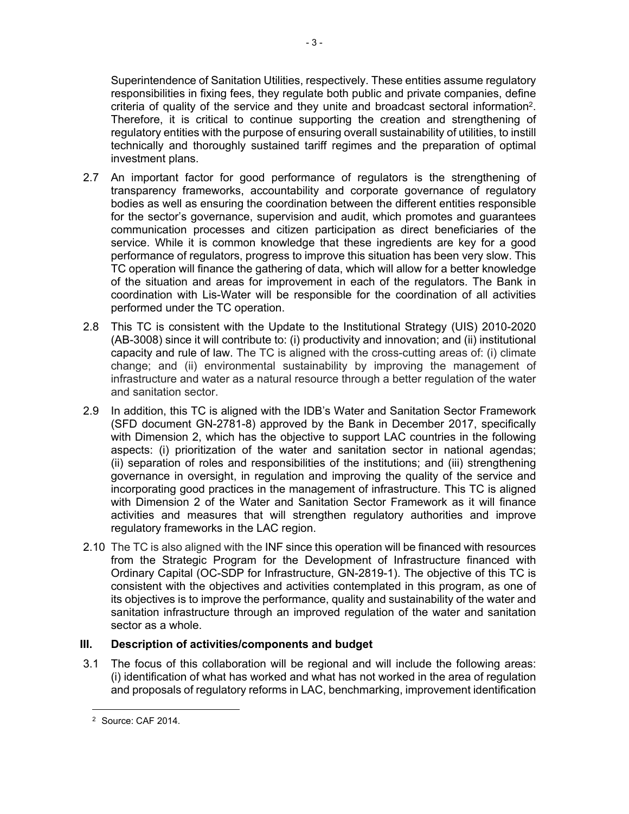Superintendence of Sanitation Utilities, respectively. These entities assume regulatory responsibilities in fixing fees, they regulate both public and private companies, define criteria of quality of the service and they unite and broadcast sectoral information<sup>2</sup>. Therefore, it is critical to continue supporting the creation and strengthening of regulatory entities with the purpose of ensuring overall sustainability of utilities, to instill technically and thoroughly sustained tariff regimes and the preparation of optimal investment plans.

- 2.7 An important factor for good performance of regulators is the strengthening of transparency frameworks, accountability and corporate governance of regulatory bodies as well as ensuring the coordination between the different entities responsible for the sector's governance, supervision and audit, which promotes and guarantees communication processes and citizen participation as direct beneficiaries of the service. While it is common knowledge that these ingredients are key for a good performance of regulators, progress to improve this situation has been very slow. This TC operation will finance the gathering of data, which will allow for a better knowledge of the situation and areas for improvement in each of the regulators. The Bank in coordination with Lis-Water will be responsible for the coordination of all activities performed under the TC operation.
- 2.8 This TC is consistent with the Update to the Institutional Strategy (UIS) 2010-2020 (AB-3008) since it will contribute to: (i) productivity and innovation; and (ii) institutional capacity and rule of law. The TC is aligned with the cross-cutting areas of: (i) climate change; and (ii) environmental sustainability by improving the management of infrastructure and water as a natural resource through a better regulation of the water and sanitation sector.
- 2.9 In addition, this TC is aligned with the IDB's Water and Sanitation Sector Framework (SFD document GN-2781-8) approved by the Bank in December 2017, specifically with Dimension 2, which has the objective to support LAC countries in the following aspects: (i) prioritization of the water and sanitation sector in national agendas; (ii) separation of roles and responsibilities of the institutions; and (iii) strengthening governance in oversight, in regulation and improving the quality of the service and incorporating good practices in the management of infrastructure. This TC is aligned with Dimension 2 of the Water and Sanitation Sector Framework as it will finance activities and measures that will strengthen regulatory authorities and improve regulatory frameworks in the LAC region.
- 2.10 The TC is also aligned with the INF since this operation will be financed with resources from the Strategic Program for the Development of Infrastructure financed with Ordinary Capital (OC-SDP for Infrastructure, GN-2819-1). The objective of this TC is consistent with the objectives and activities contemplated in this program, as one of its objectives is to improve the performance, quality and sustainability of the water and sanitation infrastructure through an improved regulation of the water and sanitation sector as a whole.

# **III. Description of activities/components and budget**

3.1 The focus of this collaboration will be regional and will include the following areas: (i) identification of what has worked and what has not worked in the area of regulation and proposals of regulatory reforms in LAC, benchmarking, improvement identification

<sup>2</sup> Source: CAF 2014.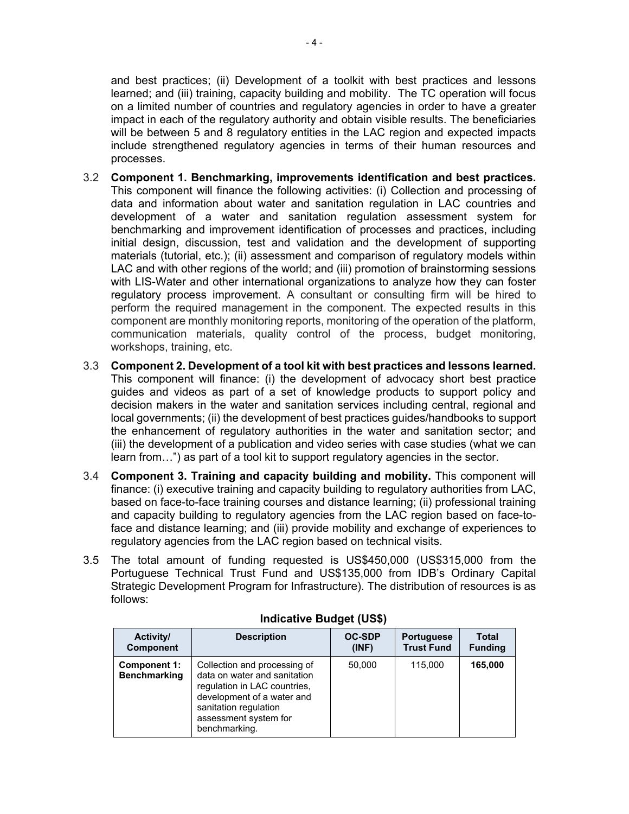and best practices; (ii) Development of a toolkit with best practices and lessons learned; and (iii) training, capacity building and mobility. The TC operation will focus on a limited number of countries and regulatory agencies in order to have a greater impact in each of the regulatory authority and obtain visible results. The beneficiaries will be between 5 and 8 regulatory entities in the LAC region and expected impacts include strengthened regulatory agencies in terms of their human resources and processes.

- 3.2 **Component 1. Benchmarking, improvements identification and best practices.**  This component will finance the following activities: (i) Collection and processing of data and information about water and sanitation regulation in LAC countries and development of a water and sanitation regulation assessment system for benchmarking and improvement identification of processes and practices, including initial design, discussion, test and validation and the development of supporting materials (tutorial, etc.); (ii) assessment and comparison of regulatory models within LAC and with other regions of the world; and (iii) promotion of brainstorming sessions with LIS-Water and other international organizations to analyze how they can foster regulatory process improvement. A consultant or consulting firm will be hired to perform the required management in the component. The expected results in this component are monthly monitoring reports, monitoring of the operation of the platform, communication materials, quality control of the process, budget monitoring, workshops, training, etc.
- 3.3 **Component 2. Development of a tool kit with best practices and lessons learned.** This component will finance: (i) the development of advocacy short best practice guides and videos as part of a set of knowledge products to support policy and decision makers in the water and sanitation services including central, regional and local governments; (ii) the development of best practices guides/handbooks to support the enhancement of regulatory authorities in the water and sanitation sector; and (iii) the development of a publication and video series with case studies (what we can learn from…") as part of a tool kit to support regulatory agencies in the sector.
- 3.4 **Component 3. Training and capacity building and mobility.** This component will finance: (i) executive training and capacity building to regulatory authorities from LAC, based on face-to-face training courses and distance learning; (ii) professional training and capacity building to regulatory agencies from the LAC region based on face-toface and distance learning; and (iii) provide mobility and exchange of experiences to regulatory agencies from the LAC region based on technical visits.
- 3.5 The total amount of funding requested is US\$450,000 (US\$315,000 from the Portuguese Technical Trust Fund and US\$135,000 from IDB's Ordinary Capital Strategic Development Program for Infrastructure). The distribution of resources is as follows:

| Activity/                           | <b>Description</b>                                                                                                                                                                            | <b>OC-SDP</b> | <b>Portuguese</b> | <b>Total</b>   |
|-------------------------------------|-----------------------------------------------------------------------------------------------------------------------------------------------------------------------------------------------|---------------|-------------------|----------------|
| <b>Component</b>                    |                                                                                                                                                                                               | (INF)         | <b>Trust Fund</b> | <b>Funding</b> |
| Component 1:<br><b>Benchmarking</b> | Collection and processing of<br>data on water and sanitation<br>regulation in LAC countries,<br>development of a water and<br>sanitation regulation<br>assessment system for<br>benchmarking. | 50,000        | 115,000           | 165,000        |

#### **Indicative Budget (US\$)**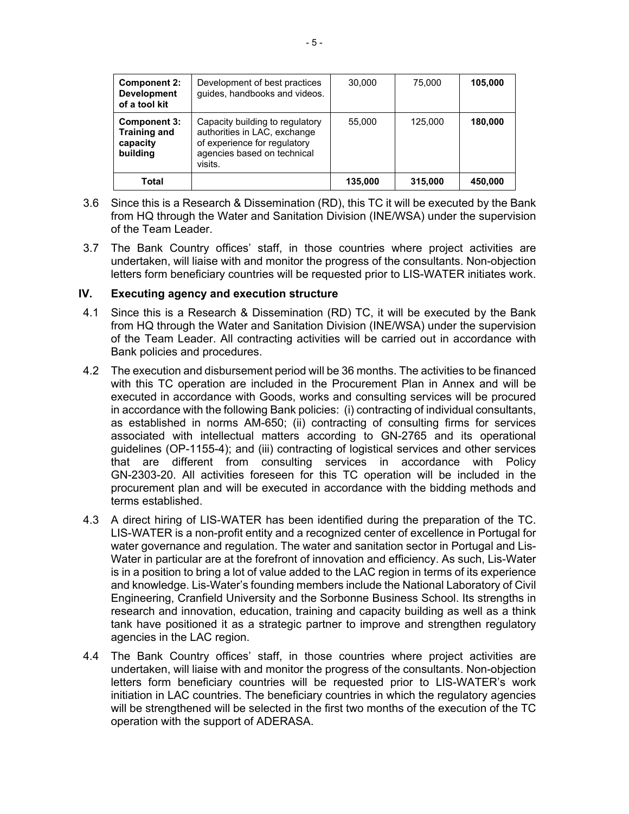| <b>Component 2:</b><br><b>Development</b><br>of a tool kit  | Development of best practices<br>guides, handbooks and videos.                                                                            | 30,000  | 75,000  | 105,000 |
|-------------------------------------------------------------|-------------------------------------------------------------------------------------------------------------------------------------------|---------|---------|---------|
| Component 3:<br><b>Training and</b><br>capacity<br>building | Capacity building to regulatory<br>authorities in LAC, exchange<br>of experience for regulatory<br>agencies based on technical<br>visits. | 55.000  | 125.000 | 180,000 |
| Total                                                       |                                                                                                                                           | 135,000 | 315,000 | 450,000 |

- 3.6 Since this is a Research & Dissemination (RD), this TC it will be executed by the Bank from HQ through the Water and Sanitation Division (INE/WSA) under the supervision of the Team Leader.
- 3.7 The Bank Country offices' staff, in those countries where project activities are undertaken, will liaise with and monitor the progress of the consultants. Non-objection letters form beneficiary countries will be requested prior to LIS-WATER initiates work.

#### **IV. Executing agency and execution structure**

- 4.1 Since this is a Research & Dissemination (RD) TC, it will be executed by the Bank from HQ through the Water and Sanitation Division (INE/WSA) under the supervision of the Team Leader. All contracting activities will be carried out in accordance with Bank policies and procedures.
- 4.2 The execution and disbursement period will be 36 months. The activities to be financed with this TC operation are included in the Procurement Plan in Annex and will be executed in accordance with Goods, works and consulting services will be procured in accordance with the following Bank policies: (i) contracting of individual consultants, as established in norms AM-650; (ii) contracting of consulting firms for services associated with intellectual matters according to GN-2765 and its operational guidelines (OP-1155-4); and (iii) contracting of logistical services and other services that are different from consulting services in accordance with Policy GN-2303-20. All activities foreseen for this TC operation will be included in the procurement plan and will be executed in accordance with the bidding methods and terms established.
- 4.3 A direct hiring of LIS-WATER has been identified during the preparation of the TC. LIS-WATER is a non-profit entity and a recognized center of excellence in Portugal for water governance and regulation. The water and sanitation sector in Portugal and Lis-Water in particular are at the forefront of innovation and efficiency. As such, Lis-Water is in a position to bring a lot of value added to the LAC region in terms of its experience and knowledge. Lis-Water's founding members include the National Laboratory of Civil Engineering, Cranfield University and the Sorbonne Business School. Its strengths in research and innovation, education, training and capacity building as well as a think tank have positioned it as a strategic partner to improve and strengthen regulatory agencies in the LAC region.
- 4.4 The Bank Country offices' staff, in those countries where project activities are undertaken, will liaise with and monitor the progress of the consultants. Non-objection letters form beneficiary countries will be requested prior to LIS-WATER's work initiation in LAC countries. The beneficiary countries in which the regulatory agencies will be strengthened will be selected in the first two months of the execution of the TC operation with the support of ADERASA.